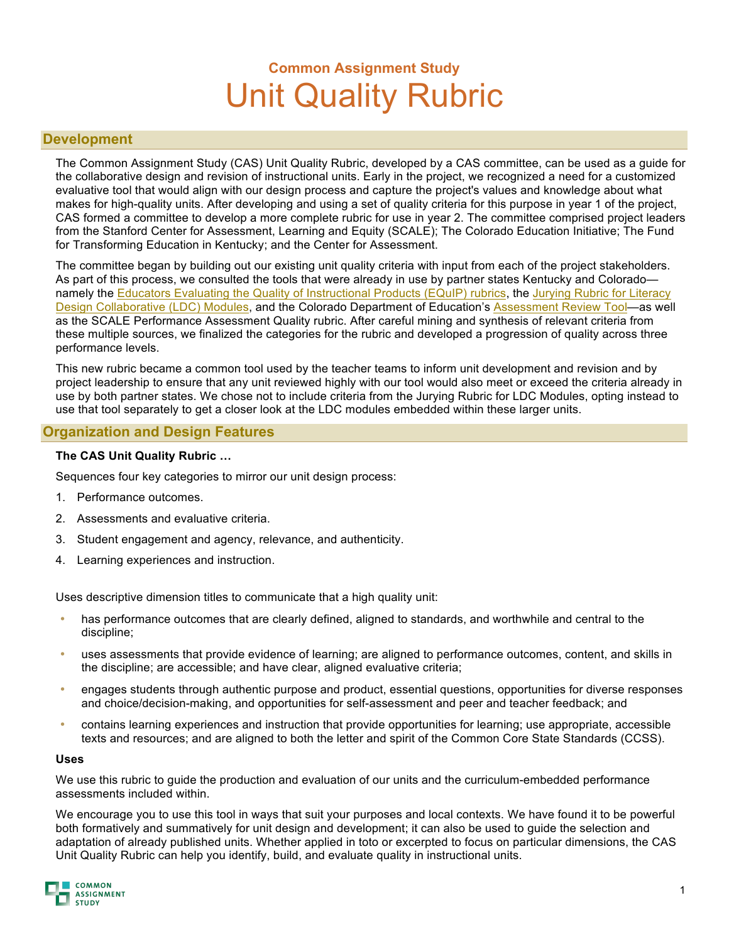# **Common Assignment Study** Unit Quality Rubric

### **Development**

The Common Assignment Study (CAS) Unit Quality Rubric, developed by a CAS committee, can be used as a guide for the collaborative design and revision of instructional units. Early in the project, we recognized a need for a customized evaluative tool that would align with our design process and capture the project's values and knowledge about what makes for high-quality units. After developing and using a set of quality criteria for this purpose in year 1 of the project, CAS formed a committee to develop a more complete rubric for use in year 2. The committee comprised project leaders from the Stanford Center for Assessment, Learning and Equity (SCALE); The Colorado Education Initiative; The Fund for Transforming Education in Kentucky; and the Center for Assessment.

The committee began by building out our existing unit quality criteria with input from each of the project stakeholders. As part of this process, we consulted the tools that were already in use by partner states Kentucky and Colorado— namely the [Educators Evaluating the Quality of Instructional Products \(EQuIP\) rubrics](http://www.achieve.org/EQuIP), the Jurying Rubric for Literacy [Design Collaborative \(LDC\) Modules,](http://ldc.org/blog/posts/new-ldc-jurying-rubric-now-available) and the Colorado Department of Education's [Assessment Review Tool](http://www.coloradoplc.org/assessment/assessment-review-tool-0)—as well as the SCALE Performance Assessment Quality rubric. After careful mining and synthesis of relevant criteria from these multiple sources, we finalized the categories for the rubric and developed a progression of quality across three performance levels.

This new rubric became a common tool used by the teacher teams to inform unit development and revision and by project leadership to ensure that any unit reviewed highly with our tool would also meet or exceed the criteria already in use by both partner states. We chose not to include criteria from the Jurying Rubric for LDC Modules, opting instead to use that tool separately to get a closer look at the LDC modules embedded within these larger units.

## **Organization and Design Features**

#### **The CAS Unit Quality Rubric …**

Sequences four key categories to mirror our unit design process:

- 1. Performance outcomes.
- 2. Assessments and evaluative criteria.
- 3. Student engagement and agency, relevance, and authenticity.
- 4. Learning experiences and instruction.

Uses descriptive dimension titles to communicate that a high quality unit:

- has performance outcomes that are clearly defined, aligned to standards, and worthwhile and central to the discipline;
- uses assessments that provide evidence of learning; are aligned to performance outcomes, content, and skills in the discipline; are accessible; and have clear, aligned evaluative criteria;
- engages students through authentic purpose and product, essential questions, opportunities for diverse responses and choice/decision-making, and opportunities for self-assessment and peer and teacher feedback; and
- contains learning experiences and instruction that provide opportunities for learning; use appropriate, accessible texts and resources; and are aligned to both the letter and spirit of the Common Core State Standards (CCSS).

#### **Uses**

We use this rubric to guide the production and evaluation of our units and the curriculum-embedded performance assessments included within.

We encourage you to use this tool in ways that suit your purposes and local contexts. We have found it to be powerful both formatively and summatively for unit design and development; it can also be used to guide the selection and adaptation of already published units. Whether applied in toto or excerpted to focus on particular dimensions, the CAS Unit Quality Rubric can help you identify, build, and evaluate quality in instructional units.

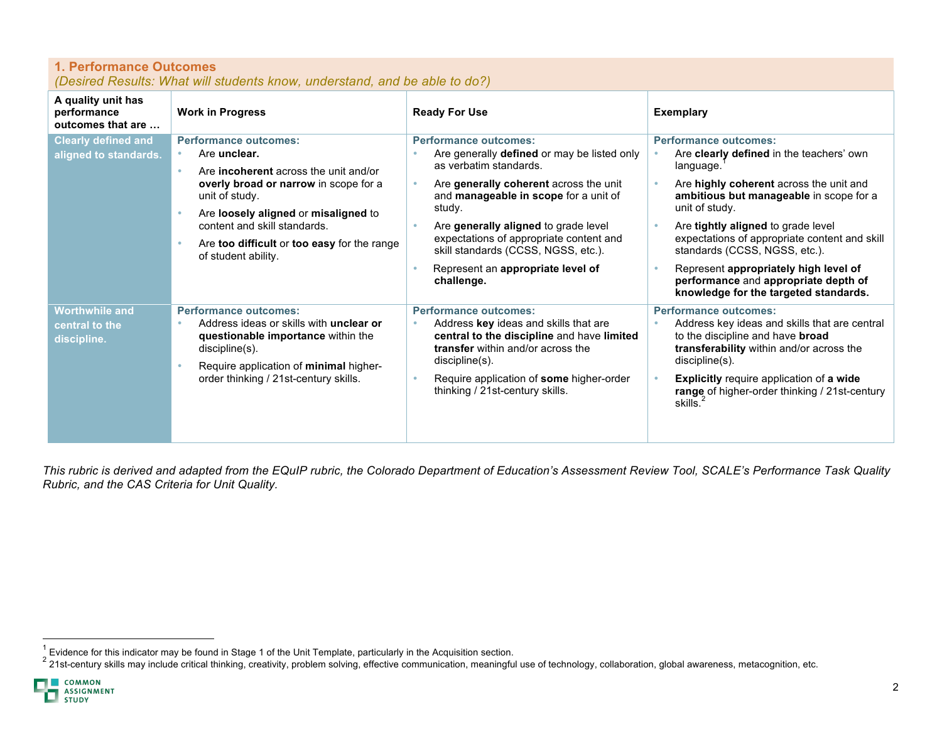| <b>1. Performance Outcomes</b><br>(Desired Results: What will students know, understand, and be able to do?) |                                                                                                                                                                                                                                                                                                       |                                                                                                                                                                                                                                                                                                                                                                                        |                                                                                                                                                                                                                                                                                                                                                                                                                                                        |  |  |
|--------------------------------------------------------------------------------------------------------------|-------------------------------------------------------------------------------------------------------------------------------------------------------------------------------------------------------------------------------------------------------------------------------------------------------|----------------------------------------------------------------------------------------------------------------------------------------------------------------------------------------------------------------------------------------------------------------------------------------------------------------------------------------------------------------------------------------|--------------------------------------------------------------------------------------------------------------------------------------------------------------------------------------------------------------------------------------------------------------------------------------------------------------------------------------------------------------------------------------------------------------------------------------------------------|--|--|
| A quality unit has<br>performance<br>outcomes that are                                                       | <b>Work in Progress</b>                                                                                                                                                                                                                                                                               | <b>Ready For Use</b>                                                                                                                                                                                                                                                                                                                                                                   | <b>Exemplary</b>                                                                                                                                                                                                                                                                                                                                                                                                                                       |  |  |
| <b>Clearly defined and</b><br>aligned to standards.                                                          | <b>Performance outcomes:</b><br>Are unclear.<br>Are <b>incoherent</b> across the unit and/or<br>overly broad or narrow in scope for a<br>unit of study.<br>Are loosely aligned or misaligned to<br>content and skill standards.<br>Are too difficult or too easy for the range<br>of student ability. | <b>Performance outcomes:</b><br>Are generally <b>defined</b> or may be listed only<br>as verbatim standards.<br>Are generally coherent across the unit<br>and manageable in scope for a unit of<br>study.<br>Are generally aligned to grade level<br>expectations of appropriate content and<br>skill standards (CCSS, NGSS, etc.).<br>Represent an appropriate level of<br>challenge. | <b>Performance outcomes:</b><br>Are <b>clearly defined</b> in the teachers' own<br>language.<br>Are highly coherent across the unit and<br>ambitious but manageable in scope for a<br>unit of study.<br>Are tightly aligned to grade level<br>expectations of appropriate content and skill<br>standards (CCSS, NGSS, etc.).<br>Represent appropriately high level of<br>performance and appropriate depth of<br>knowledge for the targeted standards. |  |  |
| <b>Worthwhile and</b><br>central to the<br>discipline.                                                       | <b>Performance outcomes:</b><br>Address ideas or skills with <b>unclear or</b><br>questionable importance within the<br>discipline(s).<br>Require application of minimal higher-<br>order thinking / 21st-century skills.                                                                             | <b>Performance outcomes:</b><br>Address key ideas and skills that are<br>central to the discipline and have limited<br>transfer within and/or across the<br>discipline(s).<br>Require application of some higher-order<br>thinking / 21st-century skills.                                                                                                                              | <b>Performance outcomes:</b><br>Address key ideas and skills that are central<br>to the discipline and have broad<br>transferability within and/or across the<br>discipline(s).<br>Explicitly require application of a wide<br>range of higher-order thinking / 21st-century<br>skills.                                                                                                                                                                |  |  |

*This rubric is derived and adapted from the EQuIP rubric, the Colorado Department of Education's Assessment Review Tool, SCALE's Performance Task Quality Rubric, and the CAS Criteria for Unit Quality.*

<sup>&</sup>lt;sup>1</sup> Evidence for this indicator may be found in Stage 1 of the Unit Template, particularly in the Acquisition section.<br><sup>2</sup> 21st-century skills may include critical thinking, creativity, problem solving, effective communic

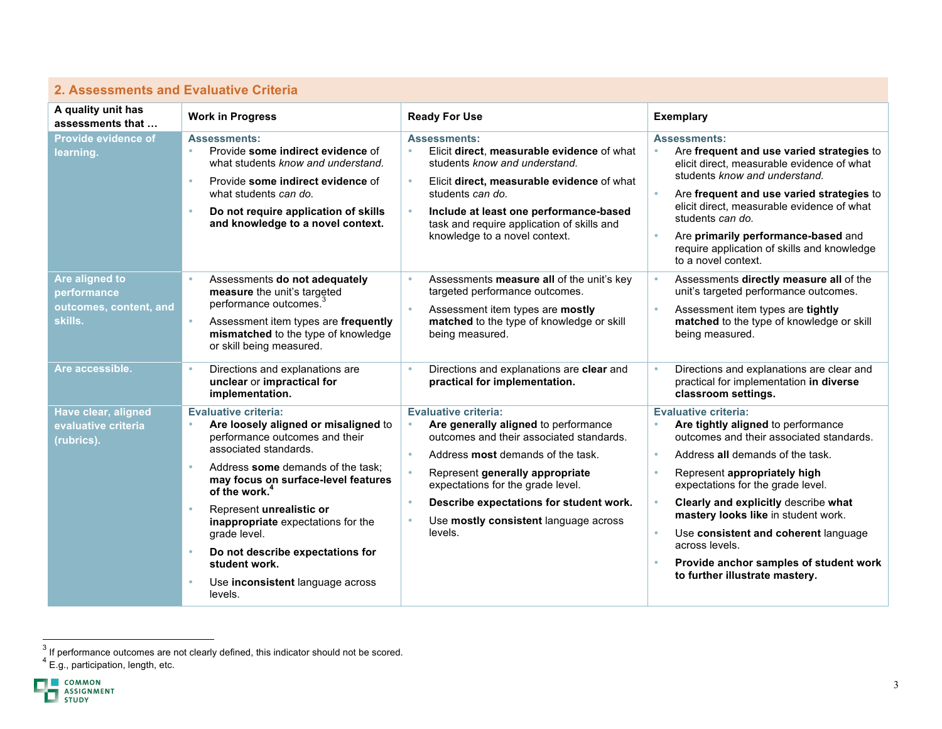# **2. Assessments and Evaluative Criteria**

| A quality unit has<br>assessments that                             | <b>Work in Progress</b>                                                                                                                                                                                                                                                                                                                                                                                                       | <b>Ready For Use</b>                                                                                                                                                                                                                                                                                                                                                                 | <b>Exemplary</b>                                                                                                                                                                                                                                                                                                                                                                                                                                                                                                  |
|--------------------------------------------------------------------|-------------------------------------------------------------------------------------------------------------------------------------------------------------------------------------------------------------------------------------------------------------------------------------------------------------------------------------------------------------------------------------------------------------------------------|--------------------------------------------------------------------------------------------------------------------------------------------------------------------------------------------------------------------------------------------------------------------------------------------------------------------------------------------------------------------------------------|-------------------------------------------------------------------------------------------------------------------------------------------------------------------------------------------------------------------------------------------------------------------------------------------------------------------------------------------------------------------------------------------------------------------------------------------------------------------------------------------------------------------|
| Provide evidence of<br>learning.                                   | <b>Assessments:</b><br>Provide some indirect evidence of<br>$\ddot{\phantom{a}}$<br>what students know and understand.<br>Provide some indirect evidence of<br>$\bullet$<br>what students can do.<br>Do not require application of skills<br>$\bullet$<br>and knowledge to a novel context.                                                                                                                                   | <b>Assessments:</b><br>Elicit direct, measurable evidence of what<br>$\bullet$<br>students know and understand.<br>$\bullet$<br>Elicit direct, measurable evidence of what<br>students can do.<br>$\bullet$<br>Include at least one performance-based<br>task and require application of skills and<br>knowledge to a novel context.                                                 | <b>Assessments:</b><br>Are frequent and use varied strategies to<br>$\bullet$<br>elicit direct, measurable evidence of what<br>students know and understand.<br>$\bullet$<br>Are frequent and use varied strategies to<br>elicit direct, measurable evidence of what<br>students can do.<br>Are primarily performance-based and<br>$\bullet$<br>require application of skills and knowledge                                                                                                                       |
| Are aligned to<br>performance<br>outcomes, content, and<br>skills. | Assessments do not adequately<br>measure the unit's targeted<br>performance outcomes.<br>Assessment item types are frequently<br>$\bullet$<br>mismatched to the type of knowledge<br>or skill being measured.                                                                                                                                                                                                                 | Assessments measure all of the unit's key<br>$\bullet$<br>targeted performance outcomes.<br>$\bullet$<br>Assessment item types are mostly<br>matched to the type of knowledge or skill<br>being measured.                                                                                                                                                                            | to a novel context.<br>Assessments directly measure all of the<br>$\bullet$<br>unit's targeted performance outcomes.<br>$\bullet$<br>Assessment item types are tightly<br>matched to the type of knowledge or skill<br>being measured.                                                                                                                                                                                                                                                                            |
| Are accessible.                                                    | Directions and explanations are<br>$\bullet$<br>unclear or impractical for<br>implementation.                                                                                                                                                                                                                                                                                                                                 | Directions and explanations are clear and<br>$\bullet$<br>practical for implementation.                                                                                                                                                                                                                                                                                              | Directions and explanations are clear and<br>$\bullet$<br>practical for implementation in diverse<br>classroom settings.                                                                                                                                                                                                                                                                                                                                                                                          |
| Have clear, aligned<br>evaluative criteria<br>(rubrics).           | <b>Evaluative criteria:</b><br>Are loosely aligned or misaligned to<br>performance outcomes and their<br>associated standards.<br>Address some demands of the task:<br>may focus on surface-level features<br>of the work. <sup>4</sup><br>Represent unrealistic or<br>inappropriate expectations for the<br>grade level.<br>Do not describe expectations for<br>student work.<br>Use inconsistent language across<br>levels. | <b>Evaluative criteria:</b><br>Are generally aligned to performance<br>$\bullet$<br>outcomes and their associated standards.<br>$\bullet$<br>Address most demands of the task.<br>٠<br>Represent generally appropriate<br>expectations for the grade level.<br>Describe expectations for student work.<br>$\bullet$<br>Use mostly consistent language across<br>$\bullet$<br>levels. | <b>Evaluative criteria:</b><br>Are tightly aligned to performance<br>۰<br>outcomes and their associated standards.<br>Address all demands of the task.<br>$\bullet$<br>Represent appropriately high<br>$\bullet$<br>expectations for the grade level.<br>$\bullet$<br>Clearly and explicitly describe what<br>mastery looks like in student work.<br>Use consistent and coherent language<br>$\bullet$<br>across levels.<br>Provide anchor samples of student work<br>$\bullet$<br>to further illustrate mastery. |

<sup>—————————————————————&</sup>lt;br><sup>3</sup> If performance outcomes are not clearly defined, this indicator should not be scored.

 $4 \text{ E.g.}$ , participation, length, etc.

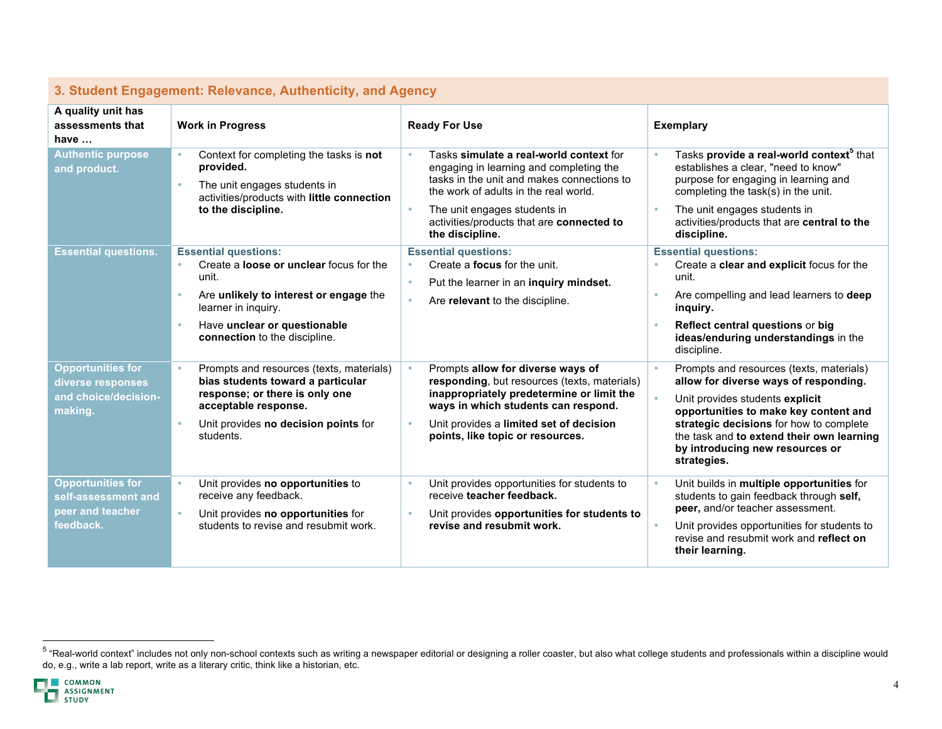| <u>u. Uluuciil Liiyayeilielil. Reievaliue, Autheliliuly, ahu Ayeliuy</u>         |                                                                                                                                                                                                                          |                                                                                                                                                                                                                                                                                                     |                                                                                                                                                                                                                                                                                                         |  |  |
|----------------------------------------------------------------------------------|--------------------------------------------------------------------------------------------------------------------------------------------------------------------------------------------------------------------------|-----------------------------------------------------------------------------------------------------------------------------------------------------------------------------------------------------------------------------------------------------------------------------------------------------|---------------------------------------------------------------------------------------------------------------------------------------------------------------------------------------------------------------------------------------------------------------------------------------------------------|--|--|
| A quality unit has<br>assessments that<br>have $\dots$                           | <b>Work in Progress</b>                                                                                                                                                                                                  | <b>Ready For Use</b>                                                                                                                                                                                                                                                                                | <b>Exemplary</b>                                                                                                                                                                                                                                                                                        |  |  |
| <b>Authentic purpose</b><br>and product.                                         | Context for completing the tasks is not<br>provided.<br>The unit engages students in<br>activities/products with little connection<br>to the discipline.                                                                 | Tasks simulate a real-world context for<br>$\bullet$<br>engaging in learning and completing the<br>tasks in the unit and makes connections to<br>the work of adults in the real world.<br>$\bullet$<br>The unit engages students in<br>activities/products that are connected to<br>the discipline. | Tasks provide a real-world context <sup>5</sup> that<br>establishes a clear, "need to know"<br>purpose for engaging in learning and<br>completing the task(s) in the unit.<br>The unit engages students in<br>$\bullet$<br>activities/products that are central to the<br>discipline.                   |  |  |
| <b>Essential questions.</b>                                                      | <b>Essential questions:</b><br>Create a <b>loose or unclear</b> focus for the<br>unit.<br>Are unlikely to interest or engage the<br>learner in inquiry.<br>Have unclear or questionable<br>connection to the discipline. | <b>Essential questions:</b><br>Create a <b>focus</b> for the unit.<br>٠<br>Put the learner in an inquiry mindset.<br>$\bullet$<br>$\bullet$<br>Are relevant to the discipline.                                                                                                                      | <b>Essential questions:</b><br>Create a clear and explicit focus for the<br>unit.<br>Are compelling and lead learners to deep<br>inquiry.<br>Reflect central questions or big<br>ideas/enduring understandings in the<br>discipline.                                                                    |  |  |
| <b>Opportunities for</b><br>diverse responses<br>and choice/decision-<br>making. | Prompts and resources (texts, materials)<br>bias students toward a particular<br>response; or there is only one<br>acceptable response.<br>Unit provides no decision points for<br>students.                             | $\bullet$<br>Prompts allow for diverse ways of<br>responding, but resources (texts, materials)<br>inappropriately predetermine or limit the<br>ways in which students can respond.<br>Unit provides a limited set of decision<br>$\bullet$<br>points, like topic or resources.                      | Prompts and resources (texts, materials)<br>allow for diverse ways of responding.<br>Unit provides students explicit<br>opportunities to make key content and<br>strategic decisions for how to complete<br>the task and to extend their own learning<br>by introducing new resources or<br>strategies. |  |  |
| <b>Opportunities for</b><br>self-assessment and<br>peer and teacher<br>feedback. | Unit provides no opportunities to<br>receive any feedback.<br>Unit provides no opportunities for<br>$\bullet$<br>students to revise and resubmit work.                                                                   | Unit provides opportunities for students to<br>٠<br>receive teacher feedback.<br>$\bullet$<br>Unit provides opportunities for students to<br>revise and resubmit work.                                                                                                                              | Unit builds in multiple opportunities for<br>students to gain feedback through self,<br>peer, and/or teacher assessment.<br>Unit provides opportunities for students to<br>$\bullet$<br>revise and resubmit work and reflect on<br>their learning.                                                      |  |  |

## **3. Student Engagement: Relevance, Authenticity, and Agency**

<sup>&</sup>lt;sup>5</sup> "Real-world context" includes not only non-school contexts such as writing a newspaper editorial or designing a roller coaster, but also what college students and professionals within a discipline would do, e.g., write a lab report, write as a literary critic, think like a historian, etc.